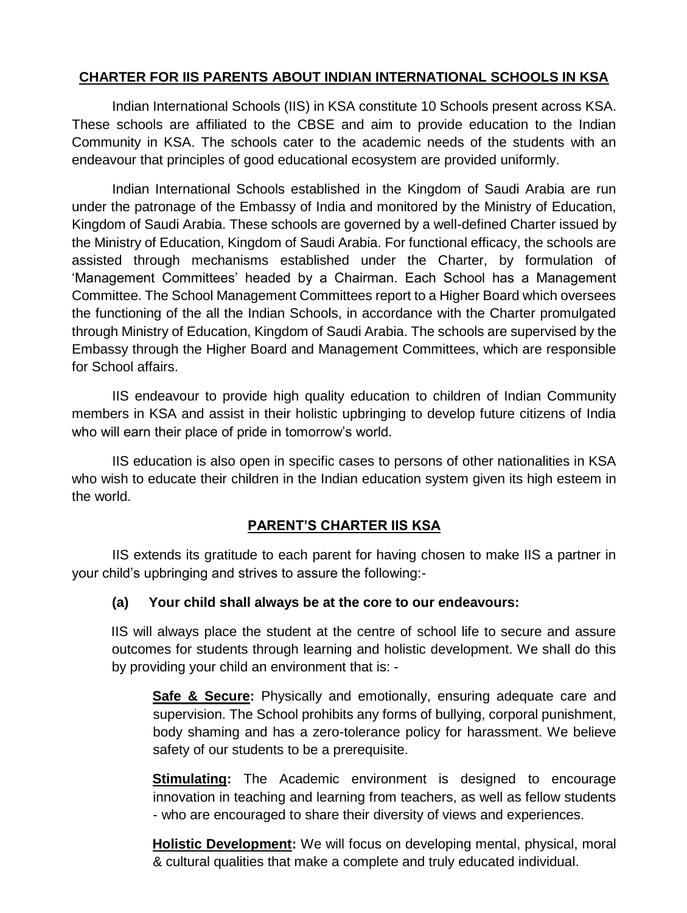### **CHARTER FOR IIS PARENTS ABOUT INDIAN INTERNATIONAL SCHOOLS IN KSA**

Indian International Schools (IIS) in KSA constitute 10 Schools present across KSA. These schools are affiliated to the CBSE and aim to provide education to the Indian Community in KSA. The schools cater to the academic needs of the students with an endeavour that principles of good educational ecosystem are provided uniformly.

Indian International Schools established in the Kingdom of Saudi Arabia are run under the patronage of the Embassy of India and monitored by the Ministry of Education, Kingdom of Saudi Arabia. These schools are governed by a well-defined Charter issued by the Ministry of Education, Kingdom of Saudi Arabia. For functional efficacy, the schools are assisted through mechanisms established under the Charter, by formulation of 'Management Committees' headed by a Chairman. Each School has a Management Committee. The School Management Committees report to a Higher Board which oversees the functioning of the all the Indian Schools, in accordance with the Charter promulgated through Ministry of Education, Kingdom of Saudi Arabia. The schools are supervised by the Embassy through the Higher Board and Management Committees, which are responsible for School affairs.

IIS endeavour to provide high quality education to children of Indian Community members in KSA and assist in their holistic upbringing to develop future citizens of India who will earn their place of pride in tomorrow's world.

IIS education is also open in specific cases to persons of other nationalities in KSA who wish to educate their children in the Indian education system given its high esteem in the world.

### **PARENT'S CHARTER IIS KSA**

IIS extends its gratitude to each parent for having chosen to make IIS a partner in your child's upbringing and strives to assure the following:-

### **(a) Your child shall always be at the core to our endeavours:**

IIS will always place the student at the centre of school life to secure and assure outcomes for students through learning and holistic development. We shall do this by providing your child an environment that is: -

**Safe & Secure:** Physically and emotionally, ensuring adequate care and supervision. The School prohibits any forms of bullying, corporal punishment, body shaming and has a zero-tolerance policy for harassment. We believe safety of our students to be a prerequisite.

**Stimulating:** The Academic environment is designed to encourage innovation in teaching and learning from teachers, as well as fellow students - who are encouraged to share their diversity of views and experiences.

**Holistic Development:** We will focus on developing mental, physical, moral & cultural qualities that make a complete and truly educated individual.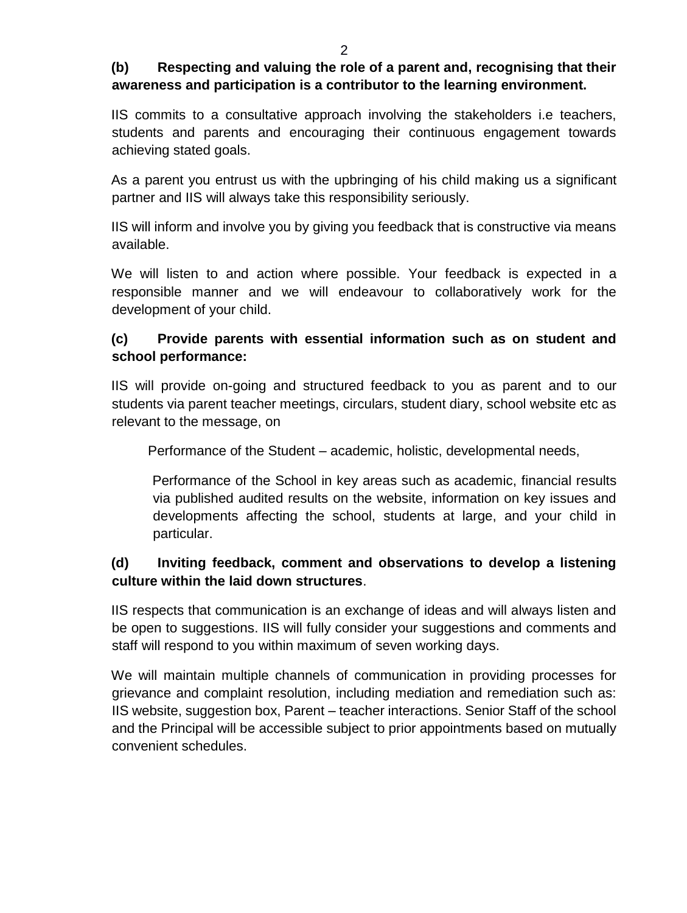#### $\mathfrak{D}$

## **(b) Respecting and valuing the role of a parent and, recognising that their awareness and participation is a contributor to the learning environment.**

IIS commits to a consultative approach involving the stakeholders i.e teachers, students and parents and encouraging their continuous engagement towards achieving stated goals.

As a parent you entrust us with the upbringing of his child making us a significant partner and IIS will always take this responsibility seriously.

IIS will inform and involve you by giving you feedback that is constructive via means available.

We will listen to and action where possible. Your feedback is expected in a responsible manner and we will endeavour to collaboratively work for the development of your child.

# **(c) Provide parents with essential information such as on student and school performance:**

IIS will provide on-going and structured feedback to you as parent and to our students via parent teacher meetings, circulars, student diary, school website etc as relevant to the message, on

Performance of the Student – academic, holistic, developmental needs,

Performance of the School in key areas such as academic, financial results via published audited results on the website, information on key issues and developments affecting the school, students at large, and your child in particular.

# **(d) Inviting feedback, comment and observations to develop a listening culture within the laid down structures**.

IIS respects that communication is an exchange of ideas and will always listen and be open to suggestions. IIS will fully consider your suggestions and comments and staff will respond to you within maximum of seven working days.

We will maintain multiple channels of communication in providing processes for grievance and complaint resolution, including mediation and remediation such as: IIS website, suggestion box, Parent – teacher interactions. Senior Staff of the school and the Principal will be accessible subject to prior appointments based on mutually convenient schedules.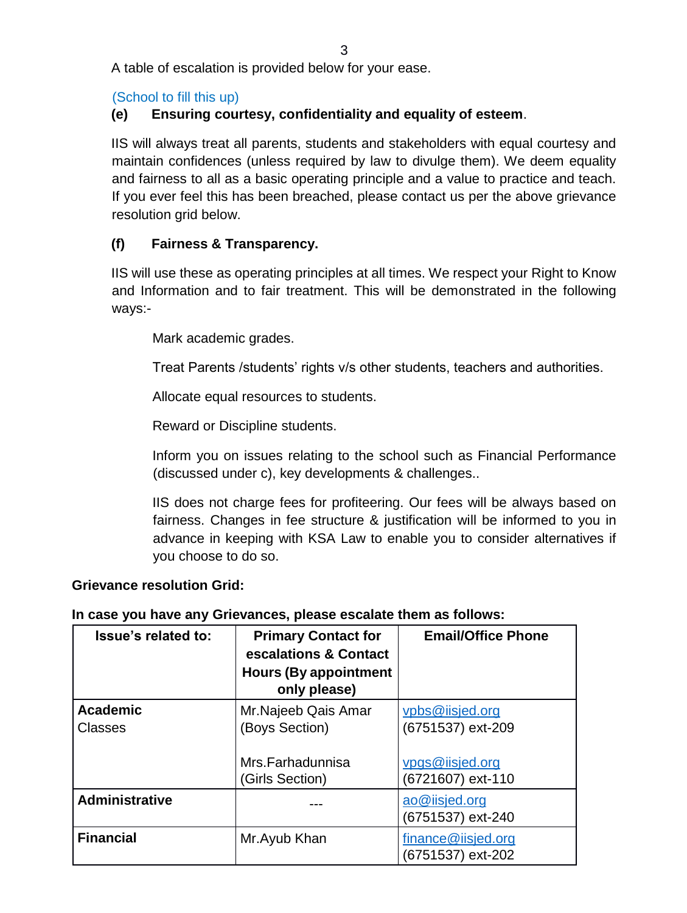A table of escalation is provided below for your ease.

## (School to fill this up)

## **(e) Ensuring courtesy, confidentiality and equality of esteem**.

IIS will always treat all parents, students and stakeholders with equal courtesy and maintain confidences (unless required by law to divulge them). We deem equality and fairness to all as a basic operating principle and a value to practice and teach. If you ever feel this has been breached, please contact us per the above grievance resolution grid below.

## **(f) Fairness & Transparency.**

IIS will use these as operating principles at all times. We respect your Right to Know and Information and to fair treatment. This will be demonstrated in the following ways:-

Mark academic grades.

Treat Parents /students' rights v/s other students, teachers and authorities.

Allocate equal resources to students.

Reward or Discipline students.

Inform you on issues relating to the school such as Financial Performance (discussed under c), key developments & challenges..

IIS does not charge fees for profiteering. Our fees will be always based on fairness. Changes in fee structure & justification will be informed to you in advance in keeping with KSA Law to enable you to consider alternatives if you choose to do so.

### **Grievance resolution Grid:**

### **In case you have any Grievances, please escalate them as follows:**

| Issue's related to:               | <b>Primary Contact for</b><br>escalations & Contact<br><b>Hours (By appointment</b><br>only please) | <b>Email/Office Phone</b>               |
|-----------------------------------|-----------------------------------------------------------------------------------------------------|-----------------------------------------|
| <b>Academic</b><br><b>Classes</b> | Mr. Najeeb Qais Amar<br>(Boys Section)                                                              | vpbs@iisjed.org<br>(6751537) ext-209    |
|                                   | Mrs.Farhadunnisa<br>(Girls Section)                                                                 | vpgs@iisjed.org<br>(6721607) ext-110    |
| <b>Administrative</b>             |                                                                                                     | ao@iisjed.org<br>(6751537) ext-240      |
| <b>Financial</b>                  | Mr. Ayub Khan                                                                                       | finance@iisjed.org<br>(6751537) ext-202 |